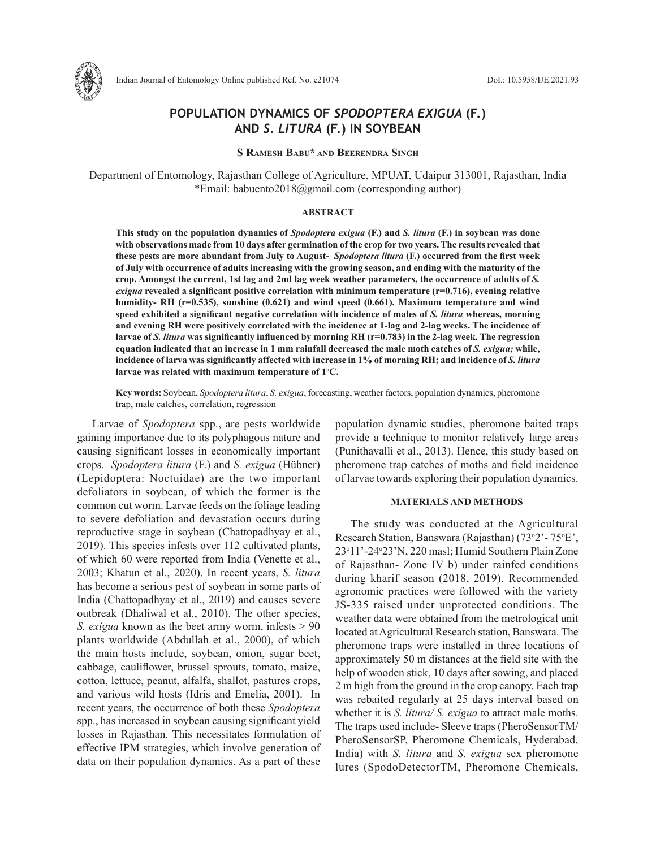

# **POPULATION DYNAMICS OF** *SPODOPTERA EXIGUA* **(F.) AND** *S. LITURA* **(F.) IN SOYBEAN**

**S Ramesh Babu\* and Beerendra Singh**

Department of Entomology, Rajasthan College of Agriculture, MPUAT, Udaipur 313001, Rajasthan, India \*Email: babuento2018@gmail.com (corresponding author)

# **ABSTRACT**

**This study on the population dynamics of** *Spodoptera exigua* **(F.) and** *S. litura* **(F.) in soybean was done with observations made from 10 days after germination of the crop for two years. The results revealed that these pests are more abundant from July to August-** *Spodoptera litura* **(F.) occurred from the first week of July with occurrence of adults increasing with the growing season, and ending with the maturity of the crop. Amongst the current, 1st lag and 2nd lag week weather parameters, the occurrence of adults of** *S. exigua* **revealed a significant positive correlation with minimum temperature (r=0.716), evening relative humidity- RH (r=0.535), sunshine (0.621) and wind speed (0.661). Maximum temperature and wind speed exhibited a significant negative correlation with incidence of males of** *S. litura* **whereas, morning and evening RH were positively correlated with the incidence at 1-lag and 2-lag weeks. The incidence of larvae of** *S. litura* **was significantly influenced by morning RH (r=0.783) in the 2-lag week. The regression equation indicated that an increase in 1 mm rainfall decreased the male moth catches of** *S. exigua;* **while,**  incidence of larva was significantly affected with increase in 1% of morning RH; and incidence of *S. litura* **larvae was related with maximum temperature of 1<sup>o</sup> C.** 

**Key words:** Soybean, *Spodoptera litura*, *S. exigua*, forecasting, weather factors, population dynamics, pheromone trap, male catches, correlation, regression

Larvae of *Spodoptera* spp., are pests worldwide gaining importance due to its polyphagous nature and causing significant losses in economically important crops. *Spodoptera litura* (F.) and *S. exigua* (Hübner) (Lepidoptera: Noctuidae) are the two important defoliators in soybean, of which the former is the common cut worm. Larvae feeds on the foliage leading to severe defoliation and devastation occurs during reproductive stage in soybean (Chattopadhyay et al., 2019). This species infests over 112 cultivated plants, of which 60 were reported from India (Venette et al., 2003; Khatun et al., 2020). In recent years, *S. litura*  has become a serious pest of soybean in some parts of India (Chattopadhyay et al., 2019) and causes severe outbreak (Dhaliwal et al., 2010). The other species, *S. exigua* known as the beet army worm, infests > 90 plants worldwide (Abdullah et al., 2000), of which the main hosts include, soybean, onion, sugar beet, cabbage, cauliflower, brussel sprouts, tomato, maize, cotton, lettuce, peanut, alfalfa, shallot, pastures crops, and various wild hosts (Idris and Emelia, 2001). In recent years, the occurrence of both these *Spodoptera* spp., has increased in soybean causing significant yield losses in Rajasthan. This necessitates formulation of effective IPM strategies, which involve generation of data on their population dynamics. As a part of these

population dynamic studies, pheromone baited traps provide a technique to monitor relatively large areas (Punithavalli et al., 2013). Hence, this study based on pheromone trap catches of moths and field incidence of larvae towards exploring their population dynamics.

### **MATERIALS AND METHODS**

The study was conducted at the Agricultural Research Station, Banswara (Rajasthan) (73°2' - 75°E', 23o 11'-24o 23'N, 220 masl; Humid Southern Plain Zone of Rajasthan- Zone IV b) under rainfed conditions during kharif season (2018, 2019). Recommended agronomic practices were followed with the variety JS-335 raised under unprotected conditions. The weather data were obtained from the metrological unit located at Agricultural Research station, Banswara. The pheromone traps were installed in three locations of approximately 50 m distances at the field site with the help of wooden stick, 10 days after sowing, and placed 2 m high from the ground in the crop canopy. Each trap was rebaited regularly at 25 days interval based on whether it is *S. litura/ S. exigua* to attract male moths. The traps used include- Sleeve traps (PheroSensorTM/ PheroSensorSP, Pheromone Chemicals, Hyderabad, India) with *S. litura* and *S. exigua* sex pheromone lures (SpodoDetectorTM, Pheromone Chemicals,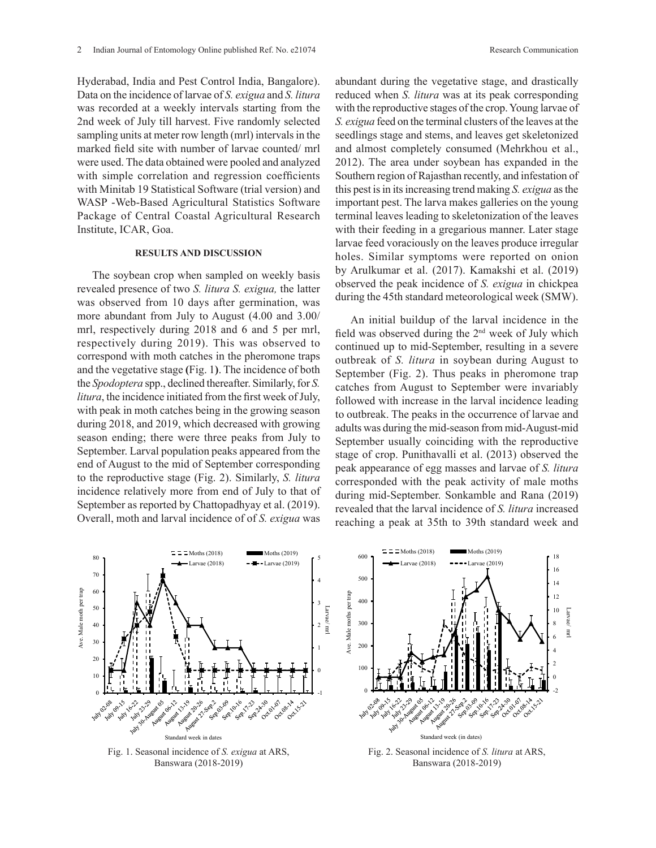Hyderabad, India and Pest Control India, Bangalore). Data on the incidence of larvae of *S. exigua* and *S. litura* was recorded at a weekly intervals starting from the 2nd week of July till harvest. Five randomly selected sampling units at meter row length (mrl) intervals in the marked field site with number of larvae counted/ mrl were used. The data obtained were pooled and analyzed with simple correlation and regression coefficients with Minitab 19 Statistical Software (trial version) and WASP -Web-Based Agricultural Statistics Software Package of Central Coastal Agricultural Research Institute, ICAR, Goa.

# **RESULTS AND DISCUSSION**

The soybean crop when sampled on weekly basis revealed presence of two *S. litura S. exigua,* the latter was observed from 10 days after germination, was more abundant from July to August (4.00 and 3.00/ mrl, respectively during 2018 and 6 and 5 per mrl, respectively during 2019). This was observed to correspond with moth catches in the pheromone traps and the vegetative stage **(**Fig. 1**)**. The incidence of both the *Spodoptera* spp., declined thereafter. Similarly, for *S. litura*, the incidence initiated from the first week of July, with peak in moth catches being in the growing season during 2018, and 2019, which decreased with growing season ending; there were three peaks from July to September. Larval population peaks appeared from the end of August to the mid of September corresponding to the reproductive stage (Fig. 2). Similarly, *S. litura* incidence relatively more from end of July to that of September as reported by Chattopadhyay et al. (2019). Overall, moth and larval incidence of of *S. exigua* was

abundant during the vegetative stage, and drastically reduced when *S. litura* was at its peak corresponding with the reproductive stages of the crop. Young larvae of *S. exigua* feed on the terminal clusters of the leaves at the seedlings stage and stems, and leaves get skeletonized and almost completely consumed (Mehrkhou et al., 2012). The area under soybean has expanded in the Southern region of Rajasthan recently, and infestation of this pest is in its increasing trend making *S. exigua* as the important pest. The larva makes galleries on the young terminal leaves leading to skeletonization of the leaves with their feeding in a gregarious manner. Later stage larvae feed voraciously on the leaves produce irregular holes. Similar symptoms were reported on onion by Arulkumar et al. (2017). Kamakshi et al. (2019) observed the peak incidence of *S. exigua* in chickpea during the 45th standard meteorological week (SMW).

An initial buildup of the larval incidence in the field was observed during the  $2<sup>nd</sup>$  week of July which continued up to mid-September, resulting in a severe outbreak of *S. litura* in soybean during August to September (Fig. 2). Thus peaks in pheromone trap catches from August to September were invariably followed with increase in the larval incidence leading to outbreak. The peaks in the occurrence of larvae and adults was during the mid-season from mid-August-mid September usually coinciding with the reproductive stage of crop. Punithavalli et al. (2013) observed the peak appearance of egg masses and larvae of *S. litura* corresponded with the peak activity of male moths during mid-September. Sonkamble and Rana (2019) revealed that the larval incidence of *S. litura* increased reaching a peak at 35th to 39th standard week and  $\mathcal{L}$  and  $\mathcal{L}$  are (2019)  $\mathcal{L}$ ti<br>Pt<br>II

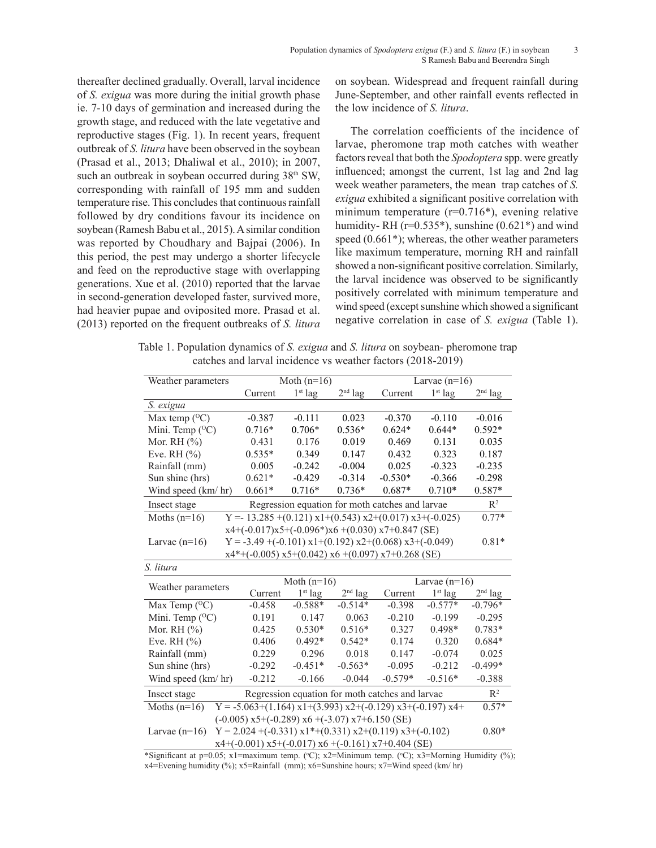thereafter declined gradually. Overall, larval incidence of *S. exigua* was more during the initial growth phase ie. 7-10 days of germination and increased during the growth stage, and reduced with the late vegetative and reproductive stages (Fig. 1). In recent years, frequent outbreak of *S. litura* have been observed in the soybean (Prasad et al., 2013; Dhaliwal et al., 2010); in 2007, such an outbreak in soybean occurred during 38<sup>th</sup> SW, corresponding with rainfall of 195 mm and sudden temperature rise. This concludes that continuous rainfall followed by dry conditions favour its incidence on soybean (Ramesh Babu et al., 2015). A similar condition was reported by Choudhary and Bajpai (2006). In this period, the pest may undergo a shorter lifecycle and feed on the reproductive stage with overlapping generations. Xue et al. (2010) reported that the larvae in second-generation developed faster, survived more, had heavier pupae and oviposited more. Prasad et al. (2013) reported on the frequent outbreaks of *S. litura*

on soybean. Widespread and frequent rainfall during June-September, and other rainfall events reflected in the low incidence of *S. litura*.

The correlation coefficients of the incidence of larvae, pheromone trap moth catches with weather factors reveal that both the *Spodoptera* spp. were greatly influenced; amongst the current, 1st lag and 2nd lag week weather parameters, the mean trap catches of *S. exigua* exhibited a significant positive correlation with minimum temperature  $(r=0.716^*)$ , evening relative humidity-RH ( $r=0.535^*$ ), sunshine (0.621 $*$ ) and wind speed (0.661\*); whereas, the other weather parameters like maximum temperature, morning RH and rainfall showed a non-significant positive correlation. Similarly, the larval incidence was observed to be significantly positively correlated with minimum temperature and wind speed (except sunshine which showed a significant negative correlation in case of *S. exigua* (Table 1).

Table 1. Population dynamics of *S. exigua* and *S. litura* on soybean- pheromone trap catches and larval incidence vs weather factors (2018-2019)

| Weather parameters                                                                                   |                                                                                     | Moth $(n=16)$ |           |           | Larvae $(n=16)$ |                |  |
|------------------------------------------------------------------------------------------------------|-------------------------------------------------------------------------------------|---------------|-----------|-----------|-----------------|----------------|--|
|                                                                                                      | Current                                                                             | $1st$ lag     | $2nd$ lag | Current   | $1st$ lag       | $2nd$ lag      |  |
| S. exigua                                                                                            |                                                                                     |               |           |           |                 |                |  |
| Max temp $(^{\circ}C)$                                                                               | $-0.387$                                                                            | $-0.111$      | 0.023     | $-0.370$  | $-0.110$        | $-0.016$       |  |
| Mini. Temp (°C)                                                                                      | $0.716*$                                                                            | $0.706*$      | $0.536*$  | $0.624*$  | $0.644*$        | $0.592*$       |  |
| Mor. RH $(%)$                                                                                        | 0.431                                                                               | 0.176         | 0.019     | 0.469     | 0.131           | 0.035          |  |
| Eve. RH $(\%$                                                                                        | $0.535*$                                                                            | 0.349         | 0.147     | 0.432     | 0.323           | 0.187          |  |
| Rainfall (mm)                                                                                        | 0.005                                                                               | $-0.242$      | $-0.004$  | 0.025     | $-0.323$        | $-0.235$       |  |
| Sun shine (hrs)                                                                                      | $0.621*$                                                                            | $-0.429$      | $-0.314$  | $-0.530*$ | $-0.366$        | $-0.298$       |  |
| Wind speed (km/hr)                                                                                   | $0.661*$                                                                            | $0.716*$      | $0.736*$  | $0.687*$  | $0.710*$        | $0.587*$       |  |
| Regression equation for moth catches and larvae<br>Insect stage                                      |                                                                                     |               |           |           |                 | $\mathbb{R}^2$ |  |
| Moths $(n=16)$                                                                                       | Y = $13.285 + (0.121) \times 1 + (0.543) \times 2 + (0.017) \times 3 + (-0.025)$    |               |           |           |                 | $0.77*$        |  |
| $x4+(-0.017)x5+(-0.096*)x6+(0.030)x7+0.847$ (SE)                                                     |                                                                                     |               |           |           |                 |                |  |
| Larvae $(n=16)$                                                                                      | $Y = -3.49 + (-0.101) \times 1 + (0.192) \times 2 + (0.068) \times 3 + (-0.049)$    |               |           |           |                 | $0.81*$        |  |
| $x4^*$ +(-0.005) $x5$ +(0.042) $x6$ +(0.097) $x7$ +0.268 (SE)                                        |                                                                                     |               |           |           |                 |                |  |
| S. litura                                                                                            |                                                                                     |               |           |           |                 |                |  |
| Weather parameters                                                                                   |                                                                                     | Moth $(n=16)$ |           |           | Larvae $(n=16)$ |                |  |
|                                                                                                      | Current                                                                             | $1st$ lag     | $2nd$ lag | Current   | $1st$ lag       | $2nd$ lag      |  |
| Max Temp $(^{\circ}C)$                                                                               | $-0.458$                                                                            | $-0.588*$     | $-0.514*$ | $-0.398$  | $-0.577*$       | $-0.796*$      |  |
| Mini. Temp ( <sup>O</sup> C)                                                                         | 0.191                                                                               | 0.147         | 0.063     | $-0.210$  | $-0.199$        | $-0.295$       |  |
| Mor. RH $(\%)$                                                                                       | 0.425                                                                               | $0.530*$      | $0.516*$  | 0.327     | $0.498*$        | $0.783*$       |  |
| Eve. RH $(\%$                                                                                        | 0.406                                                                               | $0.492*$      | $0.542*$  | 0.174     | 0.320           | $0.684*$       |  |
| Rainfall (mm)                                                                                        | 0.229                                                                               | 0.296         | 0.018     | 0.147     | $-0.074$        | 0.025          |  |
| Sun shine (hrs)                                                                                      | $-0.292$                                                                            | $-0.451*$     | $-0.563*$ | $-0.095$  | $-0.212$        | $-0.499*$      |  |
| Wind speed (km/hr)                                                                                   | $-0.212$                                                                            | $-0.166$      | $-0.044$  | $-0.579*$ | $-0.516*$       | $-0.388$       |  |
| Regression equation for moth catches and larvae<br>Insect stage                                      |                                                                                     |               |           |           |                 | $\mathbb{R}^2$ |  |
| Moths $(n=16)$                                                                                       | $Y = -5.063+(1.164) \times 1+(3.993) \times 2+(-0.129) \times 3+(-0.197) \times 4+$ |               |           |           |                 | $0.57*$        |  |
| $(-0.005)$ x5+ $(-0.289)$ x6 + $(-3.07)$ x7+ $6.150$ (SE)                                            |                                                                                     |               |           |           |                 |                |  |
| $Y = 2.024 + (-0.331) \times 1* + (0.331) \times 2 + (0.119) \times 3 + (-0.102)$<br>Larvae $(n=16)$ |                                                                                     |               |           |           |                 | $0.80*$        |  |
| $x4+(-0.001)$ $x5+(-0.017)$ $x6+(-0.161)$ $x7+0.404$ (SE)                                            |                                                                                     |               |           |           |                 |                |  |

\*Significant at p=0.05; x1=maximum temp. (°C); x2=Minimum temp. (°C); x3=Morning Humidity (%); x4=Evening humidity (%); x5=Rainfall (mm); x6=Sunshine hours; x7=Wind speed (km/ hr)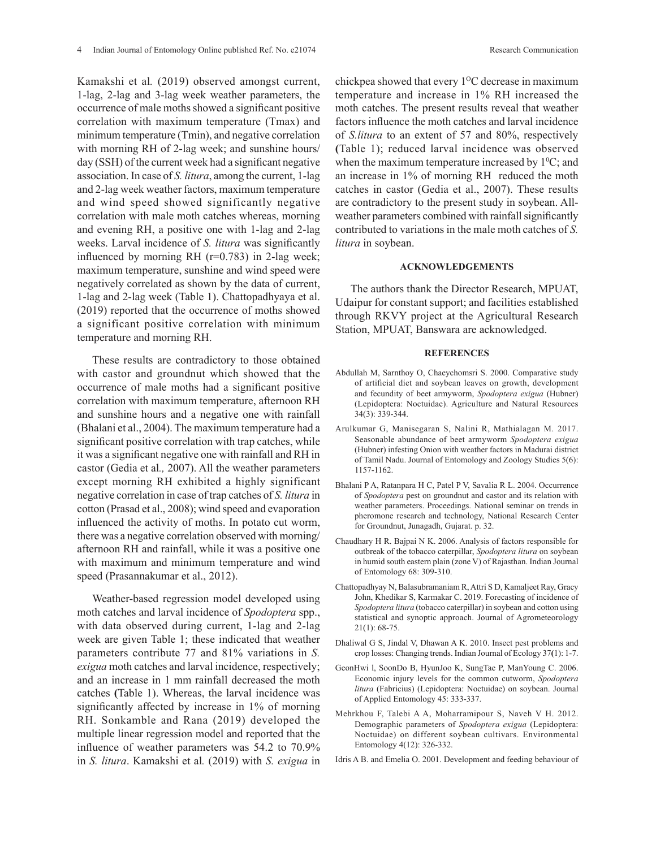Kamakshi et al*.* (2019) observed amongst current, 1-lag, 2-lag and 3-lag week weather parameters, the occurrence of male moths showed a significant positive correlation with maximum temperature (Tmax) and minimum temperature (Tmin), and negative correlation with morning RH of 2-lag week; and sunshine hours/ day (SSH) of the current week had a significant negative association. In case of *S. litura*, among the current, 1-lag and 2-lag week weather factors, maximum temperature and wind speed showed significantly negative correlation with male moth catches whereas, morning and evening RH, a positive one with 1-lag and 2-lag weeks. Larval incidence of *S. litura* was significantly influenced by morning RH  $(r=0.783)$  in 2-lag week; maximum temperature, sunshine and wind speed were negatively correlated as shown by the data of current, 1-lag and 2-lag week (Table 1). Chattopadhyaya et al. (2019) reported that the occurrence of moths showed a significant positive correlation with minimum temperature and morning RH.

These results are contradictory to those obtained with castor and groundnut which showed that the occurrence of male moths had a significant positive correlation with maximum temperature, afternoon RH and sunshine hours and a negative one with rainfall (Bhalani et al., 2004). The maximum temperature had a significant positive correlation with trap catches, while it was a significant negative one with rainfall and RH in castor (Gedia et al*.,* 2007). All the weather parameters except morning RH exhibited a highly significant negative correlation in case of trap catches of *S. litura* in cotton (Prasad et al., 2008); wind speed and evaporation influenced the activity of moths. In potato cut worm, there was a negative correlation observed with morning/ afternoon RH and rainfall, while it was a positive one with maximum and minimum temperature and wind speed (Prasannakumar et al., 2012).

Weather-based regression model developed using moth catches and larval incidence of *Spodoptera* spp., with data observed during current, 1-lag and 2-lag week are given Table 1; these indicated that weather parameters contribute 77 and 81% variations in *S. exigua* moth catches and larval incidence, respectively; and an increase in 1 mm rainfall decreased the moth catches **(**Table 1). Whereas, the larval incidence was significantly affected by increase in 1% of morning RH. Sonkamble and Rana (2019) developed the multiple linear regression model and reported that the influence of weather parameters was 54.2 to 70.9% in *S. litura*. Kamakshi et al*.* (2019) with *S. exigua* in

chickpea showed that every  $1^{\circ}$ C decrease in maximum temperature and increase in 1% RH increased the moth catches. The present results reveal that weather factors influence the moth catches and larval incidence of *S.litura* to an extent of 57 and 80%, respectively **(**Table 1); reduced larval incidence was observed when the maximum temperature increased by  $1\textdegree C$ ; and an increase in 1% of morning RH reduced the moth catches in castor (Gedia et al., 2007). These results are contradictory to the present study in soybean. Allweather parameters combined with rainfall significantly contributed to variations in the male moth catches of *S.* 

#### **ACKNOWLEDGEMENTS**

*litura* in soybean.

The authors thank the Director Research, MPUAT, Udaipur for constant support; and facilities established through RKVY project at the Agricultural Research Station, MPUAT, Banswara are acknowledged.

## **REFERENCES**

- Abdullah M, Sarnthoy O, Chaeychomsri S. 2000. Comparative study of artificial diet and soybean leaves on growth, development and fecundity of beet armyworm, *Spodoptera exigua* (Hubner) (Lepidoptera: Noctuidae). Agriculture and Natural Resources 34(3): 339-344.
- Arulkumar G, Manisegaran S, Nalini R, Mathialagan M. 2017. Seasonable abundance of beet armyworm *Spodoptera exigua* (Hubner) infesting Onion with weather factors in Madurai district of Tamil Nadu. Journal of Entomology and Zoology Studies 5(6): 1157-1162.
- Bhalani P A, Ratanpara H C, Patel P V, Savalia R L. 2004. Occurrence of *Spodoptera* pest on groundnut and castor and its relation with weather parameters. Proceedings. National seminar on trends in pheromone research and technology, National Research Center for Groundnut, Junagadh, Gujarat. p. 32.
- Chaudhary H R. Bajpai N K. 2006. Analysis of factors responsible for outbreak of the tobacco caterpillar, *Spodoptera litura* on soybean in humid south eastern plain (zone V) of Rajasthan. Indian Journal of Entomology 68: 309-310.
- Chattopadhyay N, Balasubramaniam R, Attri S D, Kamaljeet Ray, Gracy John, Khedikar S, Karmakar C. 2019. Forecasting of incidence of *Spodoptera litura* (tobacco caterpillar) in soybean and cotton using statistical and synoptic approach. Journal of Agrometeorology 21(1): 68-75.
- Dhaliwal G S, Jindal V, Dhawan A K. 2010. Insect pest problems and crop losses: Changing trends. Indian Journal of Ecology 37**(**1): 1-7.
- GeonHwi l, SoonDo B, HyunJoo K, SungTae P, ManYoung C. 2006. Economic injury levels for the common cutworm, *Spodoptera litura* (Fabricius) (Lepidoptera: Noctuidae) on soybean. Journal of Applied Entomology 45: 333-337.
- Mehrkhou F, Talebi A A, Moharramipour S, Naveh V H. 2012. Demographic parameters of *Spodoptera exigua* (Lepidoptera: Noctuidae) on different soybean cultivars. Environmental Entomology 4(12): 326-332.
- Idris A B. and Emelia O. 2001. Development and feeding behaviour of